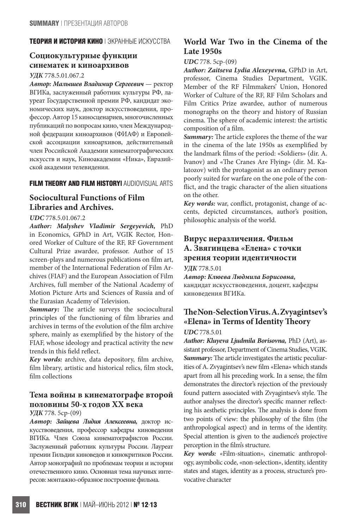### **ТЕОРИЯ И ИСТОРИЯ КИНО** | ЭКРАННЫЕ ИСКУССТВА

# **Социокультурные функции синематек и киноархивов**

### *УДК* 778.5.01.067.2

*Автор: Малышев Владимир Сергеевич* — ректор ВГИКа, заслуженный работник культуры РФ, лауреат Государственной премии РФ, кандидат экономических наук, доктор искусствоведения, профессор. Автор 15 киносценариев, многочисленных публикаций по вопросам кино, член Международной федерации киноархивов (ФИАФ) и Европейской ассоциации киноархивов, действительный член Российской Академии кинематографических искусств и наук, Киноакадемии «Ника», Евразийской академии телевидения.

### **FILM THEORY AND FILM HISTORY|** AUDIOVISUAL ARTS

# **Sociocultural Functions of Film Libraries and Archives.**

### *UDC* 778.5.01.067.2

*Author: Malyshev Vladimir Sergeyevich,* PhD in Economics, GPhD in Art, VGIK Rector, Honored Worker of Culture of the RF, RF Government Cultural Prize awardee, professor. Author of 15 screen-plays and numerous publications on film art, member of the International Federation of Film Archives (FIAF) and the European Association of Film Archives, full member of the National Academy of Motion Picture Arts and Sciences of Russia and of the Eurasian Academy of Television.

*Summary:* The article surveys the sociocultural principles of the functioning of film libraries and archives in terms of the evolution of the film archive sphere, mainly as exemplified by the history of the FIAF, whose ideology and practical activity the new trends in this field reflect.

*Key words:* archive, data depository, film archive, film library, artistic and historical relics, film stock, film collections

# **Тема войны в кинематографе второй половины 50-х годов ХХ века**

### *УДК* 778. 5ср-(09)

*Автор: Зайцева Лидия Алексеевна,* доктор искусствоведения, профессор кафедры киноведения ВГИКа. Член Союза кинематографистов России. Заслуженный работник культуры России. Лауреат премии Гильдии киноведов и кинокритиков России. Автор монографий по проблемам теории и истории отечественного кино. Основная тема научных интересов: монтажно-образное построение фильма.

## **World War Two in the Cinema of the Late 1950s**

### *UDC* 778. 5ср-(09)

*Author: Zaitseva Lydia Alexeyevna,* GPhD in Art, professor, Cinema Studies Department, VGIK. Member of the RF Filmmakers' Union, Honored Worker of Culture of the RF, RF Film Scholars and Film Critics Prize awardee, author of numerous monographs on the theory and history of Russian cinema. The sphere of academic interest: the artistic composition of a film.

*Summary:* The article explores the theme of the war in the cinema of the late 1950s as exemplified by the landmark films of the period: «Soldiers» (dir. A. Ivanov) and «The Cranes Are Flying» (dir. M. Kalatozov) with the protagonist as an ordinary person poorly suited for warfare on the one pole of the conflict, and the tragic character of the alien situations on the other.

*Key words:* war, conflict, protagonist, change of accents, depicted circumstances, author's position, philosophic analysis of the world.

# **Вирус неразличения. Фильм А. Звягинцева «Елена» с точки зрения теории идентичности**

*УДК* 778.5.01

*Автор: Клюева Людмила Борисовна,*  кандидат искусствоведения, доцент, кафедры киноведения ВГИКа.

# **The Non-Selection Virus. A. Zvyagintsev's «Elena» in Terms of Identity Theory**

### *UDC* 778.5.01

*Author: Kluyeva Ljudmila Borisovna,* PhD (Art), assistant professor, Department of Cinema Studies, VGIK. *Summary:*The article investigates the artistic peculiarities of A. Zvyagintsev's new film «Elena» which stands apart from all his preceding work. In a sense, the film demonstrates the director's rejection of the previously found pattern associated with Zvyagintsev's style. The author analyses the director's specific manner reflecting his aesthetic principles. The analysis is done from two points of view: the philosophy of the film (the anthropological aspect) and in terms of the identity. Special attention is given to the audience's projective perception in the film's structure.

*Key words:* «Film-situation», cinematic anthropology, asymbolic code, «non-selection», identity, identity states and stages, identity as a process, structure's provocative character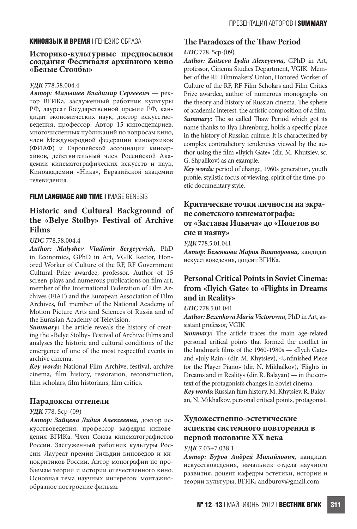### **КИНОЯЗЫК И ВРЕМЯ** | ГЕНЕЗИС ОБРАЗА

#### **Историко-культурные предпосылки создания Фестиваля архивного кино «Белые Cтолбы»**

#### *УДК* 778.58.004.4

*Автор: Малышев Владимир Сергеевич* — ректор ВГИКа, заслуженный работник культуры РФ, лауреат Государственной премии РФ, кандидат экономических наук, доктор искусствоведения, профессор. Автор 15 киносценариев, многочисленных публикаций по вопросам кино, член Международной федерации киноархивов (ФИАФ) и Европейской ассоциации киноархивов, действительный член Российской Академии кинематографических искусств и наук, Киноакадемии «Ника», Евразийской академии телевидения.

### **FILM LANGUAGE AND TIME I IMAGE GENESIS**

## **Historic and Cultural Background of the «Belye Stolby» Festival of Archive Films**

#### *UDC* 778.58.004.4

*Author: Malyshev Vladimir Sergeyevich,* PhD in Economics, GPhD in Art, VGIK Rector, Honored Worker of Culture of the RF, RF Government Cultural Prize awardee, professor. Author of 15 screen-plays and numerous publications on film art, member of the International Federation of Film Archives (FIAF) and the European Association of Film Archives, full member of the National Academy of Motion Picture Arts and Sciences of Russia and of the Eurasian Academy of Television.

*Summary:* The article reveals the history of creating the «Belye Stolby» Festival of Archive Films and analyses the historic and cultural conditions of the emergence of one of the most respectful events in archive cinema.

*Key words:* National Film Archive, festival, archive cinema, film history, restoration, reconstruction, film scholars, film historians, film critics.

#### **Парадоксы оттепели**

#### *УДК* 778. 5ср-(09)

*Автор: Зайцева Лидия Алексеевна,* доктор искусствоведения, профессор кафедры киноведения ВГИКа. Член Союза кинематографистов России. Заслуженный работник культуры России. Лауреат премии Гильдии киноведов и кинокритиков России. Автор монографий по проблемам теории и истории отечественного кино. Основная тема научных интересов: монтажнообразное построение фильма.

### **The Paradoxes of the Thaw Period**

#### *UDC* 778. 5ср-(09)

*Author: Zaitseva Lydia Alexeyevna,* GPhD in Art, professor, Cinema Studies Department, VGIK. Member of the RF Filmmakers' Union, Honored Worker of Culture of the RF, RF Film Scholars and Film Critics Prize awardee, author of numerous monographs on the theory and history of Russian cinema. The sphere of academic interest: the artistic composition of a film. *Summary:* The so called Thaw Period which got its name thanks to Ilya Ehrenburg, holds a specific place in the history of Russian culture. It is characterized by complex contradictory tendencies viewed by the author using the film «Ilyich Gate» (dir. M. Khutsiev, sc. G. Shpalikov) as an example.

*Key words:* period of change, 1960s generation, youth profile, stylistic focus of viewing, spirit of the time, poetic documentary style.

### **Критические точки личности на экране советского кинематографа: от «Заставы Ильича» до «Полетов во сне и наяву»**

*УДК* 778.5.01.041

*Автор: Безенкова Мария Викторовна,* кандидат искусствоведения, доцент ВГИКа.

# **Personal Critical Points in Soviet Cinema: from «Ilyich Gate» to «Flights in Dreams and in Reality»**

### *UDC* 778.5.01.041

*Author: Bezenkova Maria Victorovna,* PhD in Art, assistant professor, VGIK

*Summary:* **T**he article traces the main age-related personal critical points that formed the conflict in the landmark films of the 1960-1980s — «Ilych Gate» and «July Rain» (dir. M. Khytsiev), «Unfinished Piece for the Player Piano» (dir. N. Mikhalkov), 'Flights in Dreams and in Reality» (dir. R. Balayan) — in the context of the protagonist's changes in Soviet cinema.

*Key words:* Russian film history, M. Khytsiev, R. Balayan, N. Mikhalkov, personal critical points, protagonist.

## **Художественно-эстетические аспекты системного повторения в первой половине XX века**

#### *УДК* 7.03+7.038.1

*Автор: Буров Андрей Михайлович,* кандидат искусствоведения, начальник отдела научного развития, доцент кафедры эстетики, истории и теории культуры, ВГИК; andburov@gmail.com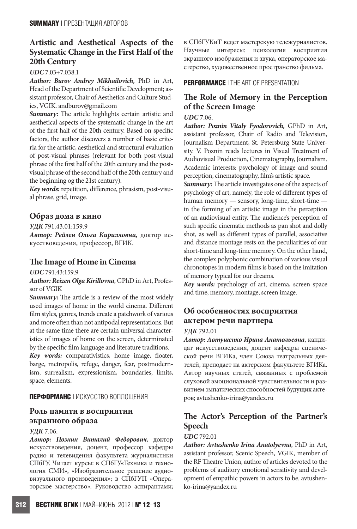# **Artistic and Aesthetical Aspects of the Systematic Change in the First Half of the 20th Century**

*UDC* 7.03+7.038.1

*Author: Burov Andrey Mikhailovich,* PhD in Art, Head of the Department of Scientific Development; assistant professor, Chair of Aesthetics and Culture Studies, VGIK. andburov@gmail.com

*Summary:* The article highlights certain artistic and aesthetical aspects of the systematic change in the art of the first half of the 20th century. Based on specific factors, the author discovers a number of basic criteria for the artistic, aesthetical and structural evaluation of post-visual phrases (relevant for both post-visual phrase of the first half of the 20th century and the postvisual phrase of the second half of the 20th century and the beginning og the 21st century).

*Key words:* repetition, difference, phrasism, post-visual phrase, grid, image.

### **Образ дома в кино**

*УДК* 791.43.01:159.9

*Автор: Рейзен Ольга Кирилловна,* доктор искусствоведения, профессор, ВГИК.

### **The Image of Home in Cinema**

*UDC* 791.43:159.9

*Author: Reizen Olga Kirillovna*, GPhD in Art, Professor of VGIK

*Summary:* The article is a review of the most widely used images of home in the world cinema. Different film styles, genres, trends create a patchwork of various and more often than not antipodal representations. But at the same time there are certain universal characteristics of images of home on the screen, determinated by the specific film language and literature traditions.

*Key words:* comparativistics, home image, floater, barge, metropolis, refuge, danger, fear, postmodernism, surrealism, expressionism, boundaries, limits, space, elements.

### **ПЕРФОРМАНС** | ИСКУССТВО ВОПЛОЩЕНИЯ

# **Роль памяти в восприятии экранного образа**

### *УДК* 7.06.

*Автор: Познин Виталий Федорович*, доктор искусствоведения, доцент, профессор кафедры радио и телевидения факультета журналистики СПбГУ. Читает курсы: в СПбГУ«Техника и технология СМИ», «Изобразительное решение аудиовизуального произведения»; в СПбГУП «Операторское мастерство». Руководство аспирантами; в СПбГУКиТ ведет мастерскую тележурналистов. Научные интересы: психология восприятия экранного изображения и звука, операторское мастерство, художественное пространство фильма.

### **PERFORMANCE** | THE ART OF PRESENTATION

# **The Role of Memory in the Perception of the Screen Image**

*UDC* 7.06.

*Author: Poznin Vitaly Fyodorovich,* GPhD in Art, assistant professor, Chair of Radio and Television, Journalism Department, St. Petersburg State University. V. Poznin reads lectures in Visual Treatment of Audiovisual Production, Cinematography, Journalism. Academic interests: psychology of image and sound perception, cinematography, film's artistic space.

*Summary:*The article investigates one of the aspects of psychology of art, namely, the role of different types of human memory — sensory, long-time, short-time in the forming of an artistic image in the perception of an audiovisual entity. The audience's perception of such specific cinematic methods as pan shot and dolly shot, as well as different types of parallel, associative and distance montage rests on the peculiarities of our short-time and long-time memory. On the other hand, the complex polyphonic combination of various visual chronotopes in modern films is based on the imitation of memory typical for our dreams.

*Key words:* psychology of art, cinema, screen space and time, memory, montage, screen image.

# **Об особенностях восприятия актером речи партнера**

*УДК* 792.01

*Автор: Автушенко Ирина Анатольевна*, кандидат искусствоведения, доцент кафедры сценической речи ВГИКа, член Союза театральных деятелей, преподает на актерском факультете ВГИКа. Автор научных статей, связанных с проблемой слуховой эмоциональной чувствительности и развитием эмпатических способностей будущих актеров; avtushenko-irina@yandex.ru

# **The Actor's Perception of the Partner's Speech**

### *UDC* 792.01

*Author: Avtushenko Irina Anatolyevna*, PhD in Art, assistant professor, Scenic Speech, VGIK, member of the RF Theatre Union, author of articles devoted to the problems of auditory emotional sensitivity and development of empathic powers in actors to be. avtushenko-irina@yandex.ru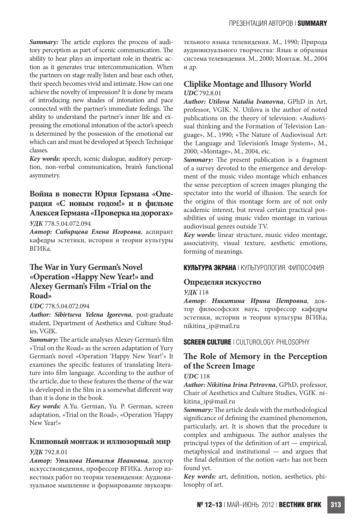*Summary:* The article explores the process of auditory perception as part of scenic communication. The ability to hear plays an important role in theatric action as it generates true intercommunication. When the partners on stage really listen and hear each other, their speech becomes vivid and intimate. How can one achieve the novelty of impression? It is done by means of introducing new shades of intonation and pace connected with the partner's immediate feelings. The ability to understand the partner's inner life and expressing the emotional intonation of the actor's speech is determined by the possession of the emotional ear which can and must be developed at Speech Technique classes.

*Key words:* speech, scenic dialogue, auditory perception, non-verbal communication, brain's functional asymmetry.

## **Война в повести Юрия Германа «Операция «С новым годом!» и в фильме Алексея Германа «Проверка на дорогах»**

*УДК* 778.5.04.072.094

*Автор: Сибирцева Елена Игоревна*, аспирант кафедры эстетики, истории и теории культуры ВГИКа.

# **The War in Yury German's Novel «Operation «Happy New Year!» and Alexey German's Film «Trial on the Road»**

### *UDC* 778.5.04.072.094

*Author: Sibirtseva Yelena Igorevna*, post-graduate student, Department of Aesthetics and Culture Studies, VGIK.

*Summary:* The article analyses Alexey German's film «Trial on the Road» as the screen adaptation of Yury German's novel «Operation 'Happy New Year!'» It examines the specific features of translating literature into film language. According to the author of the article, due to these features the theme of the war is developed in the film in a somewhat different way than it is done in the book.

*Key words:* A.Yu. German, Yu. P. German, screen adaptation, «Trial on the Road», «Operation 'Happy New Year!»

# **Клиповый монтаж и иллюзорный мир**

### *УДК* 792.8.01

*Автор: Утилова Наталья Ивановна*, доктор искусствоведения, профессор ВГИКа. Автор известных работ по теории телевидения: Аудиовизуальное мышление и формирование звукозрительного языка телевидения. М., 1990; Природа аудиовизуального творчества: Язык и образная система телевидения. М., 2000; Монтаж. М., 2004 и др.

### **Cliplike Montage and Illusory World** *UDC* 792.8.01

*Author: Utilova Natalia Ivanovna*, GPhD in Art, professor, VGIK. N. Utilova is the author of noted publications on the theory of television: «Audiovisual thinking and the Formation of Television Language», M., 1990; «The Nature of Audiovisual Art: the Language and Television's Image System», M., 2000; «Montage», M., 2004, etc.

*Summary:* The present publication is a fragment of a survey devoted to the emergence and development of the music video montage which enhances the sense perception of screen images plunging the spectator into the world of illusion. The search for the origins of this montage form are of not only academic interest, but reveal certain practical possibilities of using music video montage in various audiovisual genres outside TV.

*Key words:* linear structure, music video montage, associativity, visual texture, aesthetic emotions, forming of meanings.

### **КУЛЬТУРА ЭКРАНА** | КУЛЬТУРОЛОГИЯ. ФИЛОСОФИЯ

### **Определяя искусство**

*УДК* 118

*Автор: Никитина Ирина Петровна*, доктор философских наук, профессор кафедры эстетики, истории и теории культуры ВГИКа; nikitina\_ip@mail.ru

### **SCREEN CULTURE** | CULTUROLOGY. PHILOSOPHY

## **The Role of Memory in the Perception of the Screen Image**

### *UDC* 118

*Author: Nikitina Irina Petrovna*, GPhD, professor, Chair of Aesthetics and Culture Studies, VGIK. nikitina\_ip@mail.ru

*Summary:*The article deals with the methodological significance of defining the examined phenomenon, particularly, art. It is shown that the procedure is complex and ambiguous. The author analyses the principal types of the definition of art — empirical, metaphysical and institutional — and argues that the final definition of the notion «art» has not been found yet.

*Key words:* art, definition, notion, aesthetics, philosophy of art.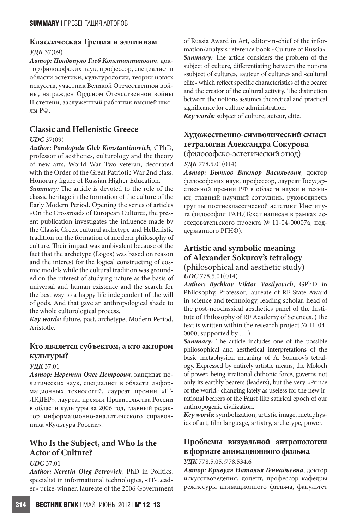# **Классическая Греция и эллинизм**

### *УДК* 37(09)

*Автор: Пондопуло Глеб Константинович,* доктор философских наук, профессор, специалист в области эстетики, культурологии, теории новых искусств, участник Великой Отечественной войны, награжден Орденом Отечественной войны II степени, заслуженный работник высшей школы РФ.

# **Classic and Hellenistic Greece**

### *UDC* 37(09)

*Author: Pondopulo Gleb Konstantinovich*, GPhD, professor of aesthetics, culturology and the theory of new arts, World War Two veteran, decorated with the Order of the Great Patriotic War 2nd class, Honorary figure of Russian Higher Education.

*Summary:* The article is devoted to the role of the classic heritage in the formation of the culture of the Early Modern Period. Opening the series of articles «On the Crossroads of European Culture», the present publication investigates the influence made by the Classic Greek cultural archetype and Hellenistic tradition on the formation of modern philosophy of culture. Their impact was ambivalent because of the fact that the archetype (Logos) was based on reason and the interest for the logical constructing of cosmic models while the cultural tradition was grounded on the interest of studying nature as the basis of universal and human existence and the search for the best way to a happy life independent of the will of gods. And that gave an anthropological shade to the whole culturological process.

*Key words:* future, past, archetype, Modern Period, Aristotle.

# **Кто является субъектом, а кто актором культуры?**

### *УДК* 37.01

*Автор: Неретин Олег Петрович*, кандидат политических наук, специалист в области информационных технологий, лауреат премии «IT-ЛИДЕР», лауреат премии Правительства России в области культуры за 2006 год, главный редактор информационно-аналитического справочника «Культура России».

# **Who Is the Subject, and Who Is the Actor of Culture?**

### *UDC* 37.01

*Author: Neretin Oleg Petrovich*, PhD in Politics, specialist in informational technologies, «IT-Leader» prize-winner, laureate of the 2006 Government of Russia Award in Art, editor-in-chief of the information/analysis reference book «Culture of Russia» *Summary:* The article considers the problem of the subject of culture, differentiating between the notions «subject of culture», «auteur of culture» and «cultural elite» which reflect specific characteristics of the bearer and the creator of the cultural activity. The distinction between the notions assumes theoretical and practical significance for culture administration.

*Key words:* subject of culture, auteur, elite.

# **Художественно-символический смысл тетралогии Александра Сокурова**

(философско-эстетический этюд)

*УДК* 778.5.01(014)

*Автор: Бычков Виктор Васильевич*, доктор философских наук, профессор, лауреат Государственной премии РФ в области науки и техники, главный научный сотрудник, руководитель группы постнеклассической эстетики Института философии РАН.(Текст написан в рамках исследовательского проекта № 11-04-00007а, поддержанного РГНФ).

# **Artistic and symbolic meaning of Alexander Sokurov's tetralogy**

(philosophical and aesthetic study) *UDC* 778.5.01(014)

*Author: Bychkov Viktor Vasilyevich*, GPhD in Philosophy, Professor, laureate of RF State Award in science and technology, leading scholar, head of the post-neoclassical aesthetics panel of the Institute of Philosophy of RF Academy of Sciences. (The text is written within the research project № 11-04- 0000, supported by … )

*Summary:* The article includes one of the possible philosophical and aesthetical interpretations of the basic metaphysical meaning of A. Sokurov's tetralogy. Expressed by entirely artistic means, the Moloch of power, being irrational chthonic force, governs not only its earthly bearers (leaders), but the very «Prince of the world» changing lately as useless for the new irrational bearers of the Faust-like satirical epoch of our anthropogenic civilization.

*Key words:* symbolization, artistic image, metaphysics of art, film language, artistry, archetype, power.

# **Проблемы визуальной антропологии в формате анимационного фильма**

### *УДК* 778.5.05.:778.534.6

*Автор: Кривуля Наталья Геннадьевна*, доктор искусствоведения, доцент, профессор кафедры режиссуры анимационного фильма, факультет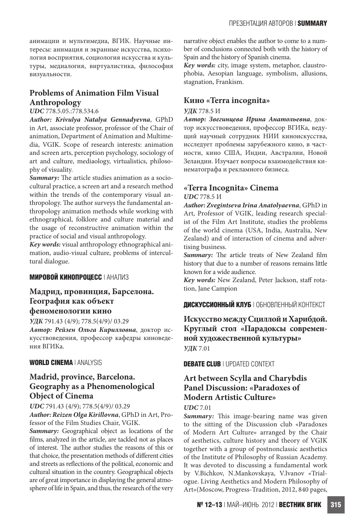анимации и мультимедиа, ВГИК. Научные интересы: анимация и экранные искусства, психология восприятия, социология искусства и культуры, медиалогия, виртуалистика, философия визуальности.

# **Problems of Animation Film Visual Anthropology**

### *UDC* 778.5.05.:778.534.6

*Author: Krivulya Natalya Gennadyevna*, GPhD in Art, associate professor, professor of the Chair of animation, Department of Animation and Multimedia, VGIK. Scope of research interests: animation and screen arts, perception psychology, sociology of art and culture, mediaology, virtualistics, philosophy of visuality.

*Summary:* The article studies animation as a sociocultural practice, a screen art and a research method within the trends of the contemporary visual anthropology. The author surveys the fundamental anthropology animation methods while working with ethnographical, folklore and culture material and the usage of reconstructive animation within the practice of social and visual anthropology.

*Key words:* visual anthropology ethnographical animation, audio-visual culture, problems of intercultural dialogue.

### **МИРОВОЙ КИНОПРОЦЕСС** | АНАЛИЗ

## **Мадрид, провинция, Барселона. География как объект феноменологии кино**

*УДК* 791.43 (4/9); 778.5(4/9)/ 03.29

*Автор: Рейзен Ольга Кирилловна*, доктор искусствоведения, профессор кафедры киноведения ВГИКа.

### **WORLD CINEMA** | ANALYSIS

# **Madrid, province, Barcelona. Geography as a Phenomenological Object of Cinema**

*UDC* 791.43 (4/9); 778.5(4/9)/ 03.29 *Author: Reizen Olga Kirillovna*, GPhD in Art, Professor of the Film Studies Chair, VGIK.

*Summary:* Geographical object as locations of the films, analyzed in the article, are tackled not as places of interest. The author studies the reasons of this or that choice, the presentation methods of different cities and streets as reflections of the political, economic and cultural situation in the country. Geographical objects are of great importance in displaying the general atmosphere of life in Spain, and thus, the research of the very narrative object enables the author to come to a number of conclusions connected both with the history of Spain and the history of Spanish cinema.

*Key words:* city, image system, metaphor, claustrophobia, Aesopian language, symbolism, allusions, stagnation, Frankism.

## **Кино «Terra incognita»**

### *УДК* 778.5 И

*Автор: Звегинцева Ирина Анатольевна*, доктор искусствоведения, профессор ВГИКа, ведущий научный сотрудник НИИ киноискусства, исследует проблемы зарубежного кино, в частности, кино США, Индии, Австралии, Новой Зеландии. Изучает вопросы взаимодействия кинематографа и рекламного бизнеса.

### **«Terra Incognita» Cinema** *UDC* 778.5 И

*Author: Zvegintseva Irina Anatolyaevna*, GPhD in Art, Professor of VGIK, leading research specialist of the Film Art Institute, studies the problems of the world cinema (USA, India, Australia, New Zealand) and of interaction of cinema and advertising business.

*Summary:* The article treats of New Zealand film history that due to a number of reasons remains little known for a wide audience.

*Key words:* New Zealand, Peter Jackson, staff rotation, Jane Campion

**ДИСКУССИОННЫЙ КЛУБ** | ОБНОВЛЕННЫЙ КОНТЕКСТ

**Искусство между Сциллой и Харибдой. Круглый стол «Парадоксы современной художественной культуры»** *УДК* 7.01

### **DEBATE CLUB** | UPDATED CONTEXT

# **Art between Scylla and Charybdis Panel Discussion: «Paradoxes of Modern Artistic Culture»**

### *UDC* 7.01

*Summary:* This image-bearing name was given to the sitting of the Discussion club «Paradoxes of Modern Art Culture» arranged by the Chair of aesthetics, culture history and theory of VGIK together with a group of postnonclassic aesthetics of the Institute of Philosophy of Russian Academy. It was devoted to discussing a fundamental work by V.Bichkov, N.Mankovskaya, V.Ivanov «Trialogue. Living Aesthetics and Modern Philosophy of Art»(Moscow, Progress-Tradition, 2012, 840 pages,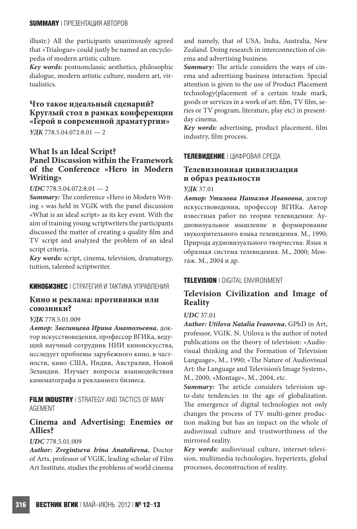illustr.) All the participants unanimously agreed that «Trialogue» could justly be named an encyclopedia of modern artistic culture.

*Key words:* postnonclassic aesthetics, philosophic dialogue, modern artistic culture, modern art, virtualistics.

# **Что такое идеальный сценарий? Круглый стол в рамках конференции «Герой в современной драматургии»**

*УДК* 778.5.04.072:8.01 — 2

### **What Is an Ideal Script? Panel Discussion within the Framework of the Conference »Hero in Modern Writing»**

### *UDC* 778.5.04.072:8.01 — 2

*Summary:* The conference «Hero in Modern Writing « was held in VGIK with the panel discussion «What is an ideal script» as its key event. With the aim of training young scriptwriters the participants discussed the matter of creating a quality film and TV script and analyzed the problem of an ideal script criteria.

*Key words:* script, cinema, television, dramaturgy, tuition, talented scriptwriter.

### **КИНОБИЗНЕС** | СТРАТЕГИЯ И ТАКТИКА УПРАВЛЕНИЯ

### **Кино и реклама: противники или союзники?**

### *УДК* 778.5.01.009

*Автор: Звегинцева Ирина Анатольевна*, доктор искусствоведения, профессор ВГИКа, ведущий научный сотрудник НИИ киноискусства, исследует проблемы зарубежного кино, в частности, кино США, Индии, Австралии, Новой Зеландии. Изучает вопросы взаимодействия кинематографа и рекламного бизнеса.

**FILM INDUSTRY** | STRATEGY AND TACTICS OF MAN-AGEMENT

## **Cinema and Advertising: Enemies or Allies?**

### *UDC* 778.5.01.009

*Author: Zvegintseva Irina Anatolievna*, Doctor of Arts, professor of VGIK, leading scholar of Film Art Institute, studies the problems of world cinema and namely, that of USA, India, Australia, New Zealand. Doing research in interconnection of cinema and advertising business.

*Summary:* The article considers the ways of cinema and advertising business interaction. Special attention is given to the use of Product Placement technology(placement of a certain trade mark, goods or services in a work of art: film, TV film, series or TV program, literature, play etc) in presentday cinema.

*Key words:* advertising, product placement, film industry, film process.

### **ТЕЛЕВИДЕНИЕ** | ЦИФРОВАЯ СРЕДА

### **Телевизионная цивилизация и образ реальности**

*УДК* 37.01

*Автор: Утилова Наталья Ивановна*, доктор искусствоведения, профессор ВГИКа. Автор известных работ по теории телевидения: Аудиовизуальное мышление и формирование звукозрительного языка телевидения. М., 1990; Природа аудиовизуального творчества: Язык и образная система телевидения. М., 2000; Монтаж. М., 2004 и др.

### **TELEVISION** | DIGITAL ENVIRONMENT

## **Television Civilization and Image of Reality**

### *UDC* 37.01

*Author: Utilova Natalia Ivanovna*, GPhD in Art, professor, VGIK. N. Utilova is the author of noted publications on the theory of television: «Audiovisual thinking and the Formation of Television Language», M., 1990; «The Nature of Audiovisual Art: the Language and Television's Image System», M., 2000; «Montage», M., 2004, etc.

*Summary:* The article considers television upto-date tendencies in the age of globalization. The emergence of digital technologies not only changes the process of TV multi-genre production making but has an impact on the whole of audiovisual culture and trustworthiness of the mirrored reality.

*Key words:* audiovisual culture, internet-television, multimedia technologies, hypertexts, global processes, deconstruction of reality.